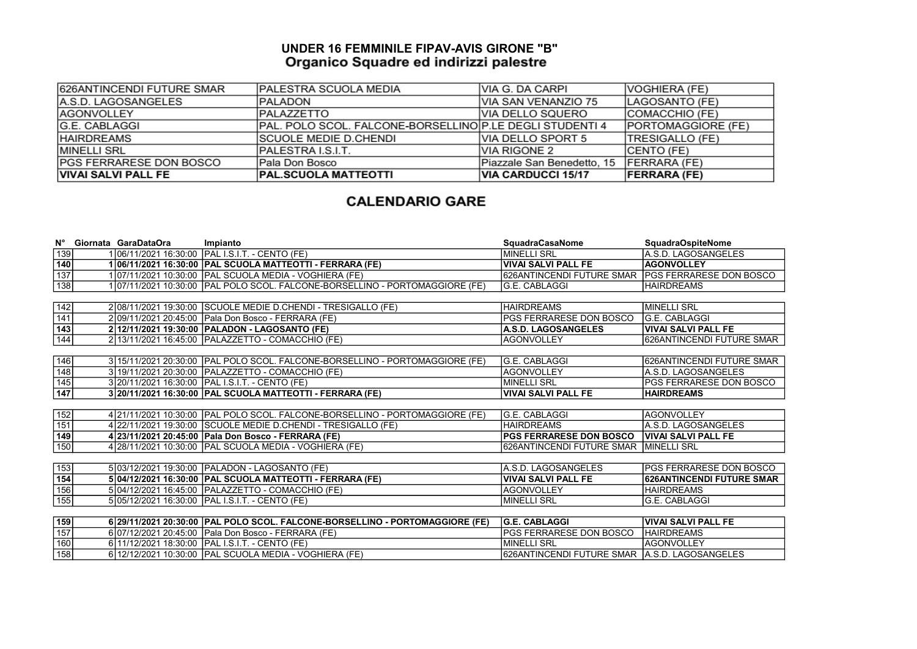## UNDER 16 FEMMINILE FIPAV-AVIS GIRONE "B"

| 626ANTINCENDI FUTURE SMAR       | <b>PALESTRA SCUOLA MEDIA</b>                             | VIA G. DA CARPI            | VOGHIERA (FE)             |
|---------------------------------|----------------------------------------------------------|----------------------------|---------------------------|
| A.S.D. LAGOSANGELES             | <b>PALADON</b>                                           | IVIA SAN VENANZIO 75       | LAGOSANTO (FE)            |
| <b>AGONVOLLEY</b>               | <b>PALAZZETTO</b>                                        | IVIA DELLO SQUERO          | <b>COMACCHIO (FE)</b>     |
| <b>G.E. CABLAGGI</b>            | PAL. POLO SCOL. FALCONE-BORSELLINOIP.LE DEGLI STUDENTI 4 |                            | <b>PORTOMAGGIORE (FE)</b> |
| <b>HAIRDREAMS</b>               | <b>ISCUOLE MEDIE D.CHENDI</b>                            | VIA DELLO SPORT 5          | <b>TRESIGALLO (FE)</b>    |
| <b>MINELLI SRL</b>              | IPALESTRA I.S.I.T.                                       | <b>VIA RIGONE 2</b>        | <b>CENTO (FE)</b>         |
| <b>IPGS FERRARESE DON BOSCO</b> | Pala Don Bosco                                           | Piazzale San Benedetto, 15 | <b>FERRARA (FE)</b>       |
| <b>VIVAI SALVI PALL FE</b>      | <b>PAL.SCUOLA MATTEOTTI</b>                              | <b>VIA CARDUCCI 15/17</b>  | <b>FERRARA (FE)</b>       |

## **CALENDARIO GARE**

|                   | N° Giornata GaraDataOra | Impianto                                                                      | SquadraCasaNome                                   | <b>SquadraOspiteNome</b>        |
|-------------------|-------------------------|-------------------------------------------------------------------------------|---------------------------------------------------|---------------------------------|
| 139               |                         | 106/11/2021 16:30:00 PAL I.S.I.T. - CENTO (FE)                                | İMINELLI SRL                                      | A.S.D. LAGOSANGELES             |
| 140               |                         | 106/11/2021 16:30:00 PAL SCUOLA MATTEOTTI - FERRARA (FE)                      | <b>VIVAI SALVI PALL FE</b>                        | <b>AGONVOLLEY</b>               |
| $\overline{137}$  |                         | 1 07/11/2021 10:30:00 PAL SCUOLA MEDIA - VOGHIERA (FE)                        | 626ANTINCENDI FUTURE SMAR PGS FERRARESE DON BOSCO |                                 |
| 138               |                         | 1 07/11/2021 10:30:00  PAL POLO SCOL. FALCONE-BORSELLINO - PORTOMAGGIORE (FE) | IG.E. CABLAGGI                                    | <b>HAIRDREAMS</b>               |
|                   |                         |                                                                               |                                                   |                                 |
| $\frac{142}{141}$ |                         | 2 08/11/2021 19:30:00 SCUOLE MEDIE D.CHENDI - TRESIGALLO (FE)                 | <b>HAIRDREAMS</b>                                 | <b>MINELLI SRL</b>              |
|                   |                         | 2 09/11/2021 20:45:00 Pala Don Bosco - FERRARA (FE)                           | PGS FERRARESE DON BOSCO                           | <b>G.E. CABLAGGI</b>            |
| $\overline{143}$  |                         | 2 12/11/2021 19:30:00 PALADON - LAGOSANTO (FE)                                | A.S.D. LAGOSANGELES                               | VIVAI SALVI PALL FE             |
| 144               |                         | 2 13/11/2021 16:45:00 PALAZZETTO - COMACCHIO (FE)                             | <b>AGONVOLLEY</b>                                 | 626ANTINCENDI FUTURE SMAR       |
|                   |                         |                                                                               |                                                   |                                 |
| 146               |                         | 3 15/11/2021 20:30:00 PAL POLO SCOL. FALCONE-BORSELLINO - PORTOMAGGIORE (FE)  | G.E. CABLAGGI                                     | 626ANTINCENDI FUTURE SMAR       |
| $\frac{1}{148}$   |                         | 3 19/11/2021 20:30:00 PALAZZETTO - COMACCHIO (FE)                             | <b>AGONVOLLEY</b>                                 | A.S.D. LAGOSANGELES             |
| 145               |                         | 3 20/11/2021 16:30:00 PAL I.S.I.T. - CENTO (FE)                               | <b>MINELLI SRL</b>                                | <b>IPGS FERRARESE DON BOSCO</b> |
| 147               |                         | 3 20/11/2021 16:30:00 PAL SCUOLA MATTEOTTI - FERRARA (FE)                     | <b>VIVAI SALVI PALL FE</b>                        | <b>HAIRDREAMS</b>               |
|                   |                         |                                                                               |                                                   |                                 |
| 152               |                         | 4 21/11/2021 10:30:00 PAL POLO SCOL. FALCONE-BORSELLINO - PORTOMAGGIORE (FE)  | IG.E. CABLAGGI                                    | <b>AGONVOLLEY</b>               |
| 151               |                         | 4 22/11/2021 19:30:00 SCUOLE MEDIE D.CHENDI - TRESIGALLO (FE)                 | <b>HAIRDREAMS</b>                                 | A.S.D. LAGOSANGELES             |
| 149               |                         | 4 23/11/2021 20:45:00 Pala Don Bosco - FERRARA (FE)                           | <b>PGS FERRARESE DON BOSCO</b>                    | <b>VIVAI SALVI PALL FE</b>      |
| 150               |                         | 4 28/11/2021 10:30:00 PAL SCUOLA MEDIA - VOGHIERA (FE)                        | 626ANTINCENDI FUTURE SMAR MINELLI SRL             |                                 |
|                   |                         |                                                                               |                                                   |                                 |
| 153               |                         | 5 03/12/2021 19:30:00 PALADON - LAGOSANTO (FE)                                | A.S.D. LAGOSANGELES                               | <b>PGS FERRARESE DON BOSCO</b>  |
| 154               |                         | 5 04/12/2021 16:30:00 PAL SCUOLA MATTEOTTI - FERRARA (FE)                     | <b>VIVAI SALVI PALL FE</b>                        | 626ANTINCENDI FUTURE SMAR       |
| 156               |                         | 5 04/12/2021 16:45:00 PALAZZETTO - COMACCHIO (FE)                             | <b>AGONVOLLEY</b>                                 | <b>HAIRDREAMS</b>               |
| 155               |                         | 5 05/12/2021 16:30:00   PAL I.S.I.T. - CENTO (FE)                             | <b>MINELLI SRL</b>                                | <b>G.E. CABLAGGI</b>            |
|                   |                         |                                                                               |                                                   |                                 |
| 159               |                         | 6 29/11/2021 20:30:00 PAL POLO SCOL. FALCONE-BORSELLINO - PORTOMAGGIORE (FE)  | <b>G.E. CABLAGGI</b>                              | VIVAI SALVI PALL FE             |
| 157               |                         | 6 07/12/2021 20:45:00 Pala Don Bosco - FERRARA (FE)                           | PGS FERRARESE DON BOSCO                           | <b>HAIRDREAMS</b>               |
| 160               |                         | 6 11/12/2021 18:30:00 PAL I.S.I.T. - CENTO (FE)                               | <b>MINELLI SRL</b>                                | <b>AGONVOLLEY</b>               |
| 158               |                         | 6 12/12/2021 10:30:00 PAL SCUOLA MEDIA - VOGHIERA (FE)                        | 626ANTINCENDI FUTURE SMAR   A.S.D. LAGOSANGELES   |                                 |